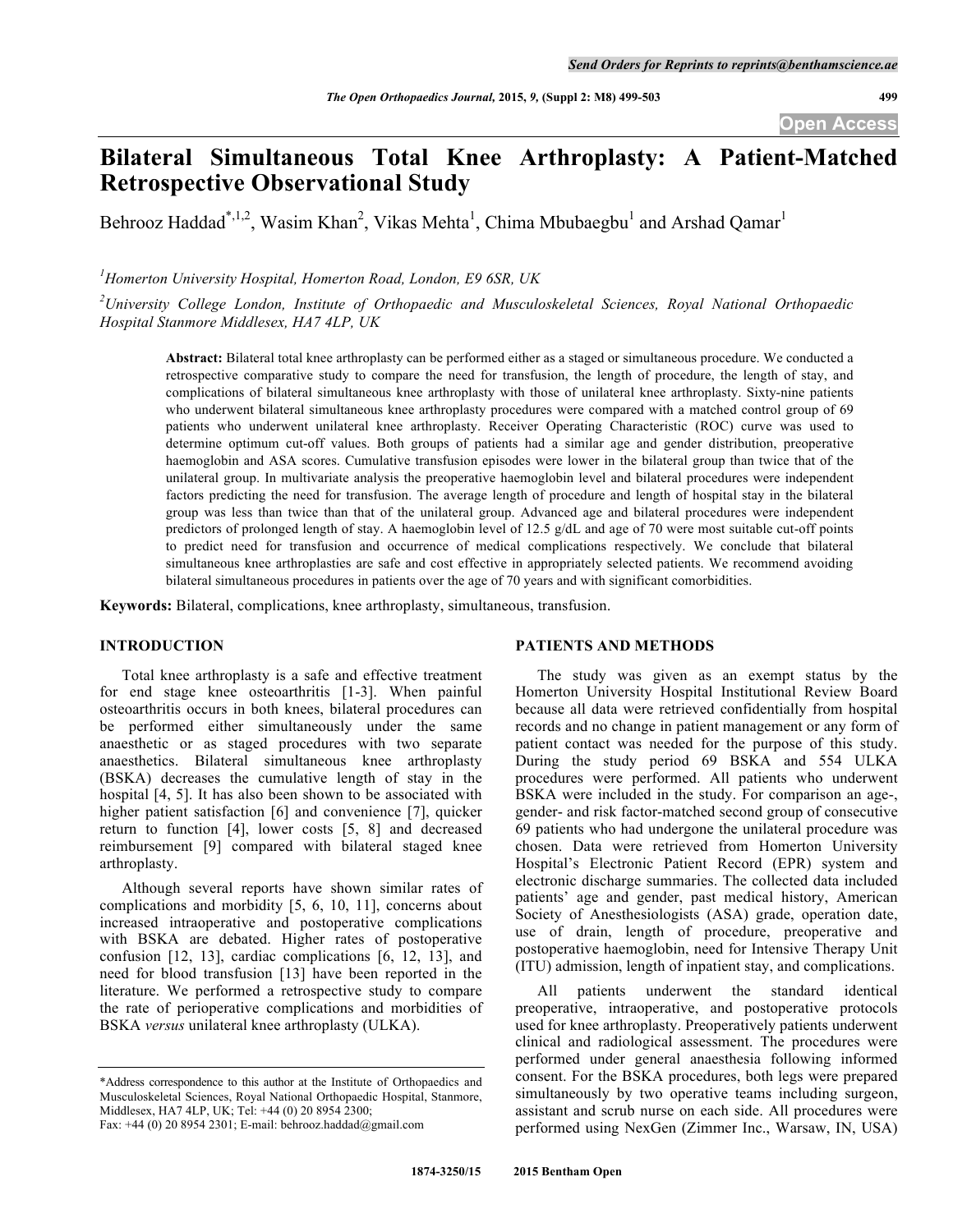# **Bilateral Simultaneous Total Knee Arthroplasty: A Patient-Matched Retrospective Observational Study**

Behrooz Haddad<sup>\*,1,2</sup>, Wasim Khan<sup>2</sup>, Vikas Mehta<sup>1</sup>, Chima Mbubaegbu<sup>1</sup> and Arshad Qamar<sup>1</sup>

*1 Homerton University Hospital, Homerton Road, London, E9 6SR, UK*

*2 University College London, Institute of Orthopaedic and Musculoskeletal Sciences, Royal National Orthopaedic Hospital Stanmore Middlesex, HA7 4LP, UK*

**Abstract:** Bilateral total knee arthroplasty can be performed either as a staged or simultaneous procedure. We conducted a retrospective comparative study to compare the need for transfusion, the length of procedure, the length of stay, and complications of bilateral simultaneous knee arthroplasty with those of unilateral knee arthroplasty. Sixty-nine patients who underwent bilateral simultaneous knee arthroplasty procedures were compared with a matched control group of 69 patients who underwent unilateral knee arthroplasty. Receiver Operating Characteristic (ROC) curve was used to determine optimum cut-off values. Both groups of patients had a similar age and gender distribution, preoperative haemoglobin and ASA scores. Cumulative transfusion episodes were lower in the bilateral group than twice that of the unilateral group. In multivariate analysis the preoperative haemoglobin level and bilateral procedures were independent factors predicting the need for transfusion. The average length of procedure and length of hospital stay in the bilateral group was less than twice than that of the unilateral group. Advanced age and bilateral procedures were independent predictors of prolonged length of stay. A haemoglobin level of 12.5 g/dL and age of 70 were most suitable cut-off points to predict need for transfusion and occurrence of medical complications respectively. We conclude that bilateral simultaneous knee arthroplasties are safe and cost effective in appropriately selected patients. We recommend avoiding bilateral simultaneous procedures in patients over the age of 70 years and with significant comorbidities.

**Keywords:** Bilateral, complications, knee arthroplasty, simultaneous, transfusion.

# **INTRODUCTION**

Total knee arthroplasty is a safe and effective treatment for end stage knee osteoarthritis [1-3]. When painful osteoarthritis occurs in both knees, bilateral procedures can be performed either simultaneously under the same anaesthetic or as staged procedures with two separate anaesthetics. Bilateral simultaneous knee arthroplasty (BSKA) decreases the cumulative length of stay in the hospital [4, 5]. It has also been shown to be associated with higher patient satisfaction [6] and convenience [7], quicker return to function [4], lower costs [5, 8] and decreased reimbursement [9] compared with bilateral staged knee arthroplasty.

Although several reports have shown similar rates of complications and morbidity [5, 6, 10, 11], concerns about increased intraoperative and postoperative complications with BSKA are debated. Higher rates of postoperative confusion [12, 13], cardiac complications [6, 12, 13], and need for blood transfusion [13] have been reported in the literature. We performed a retrospective study to compare the rate of perioperative complications and morbidities of BSKA *versus* unilateral knee arthroplasty (ULKA).

#### **PATIENTS AND METHODS**

The study was given as an exempt status by the Homerton University Hospital Institutional Review Board because all data were retrieved confidentially from hospital records and no change in patient management or any form of patient contact was needed for the purpose of this study. During the study period 69 BSKA and 554 ULKA procedures were performed. All patients who underwent BSKA were included in the study. For comparison an age-, gender- and risk factor-matched second group of consecutive 69 patients who had undergone the unilateral procedure was chosen. Data were retrieved from Homerton University Hospital's Electronic Patient Record (EPR) system and electronic discharge summaries. The collected data included patients' age and gender, past medical history, American Society of Anesthesiologists (ASA) grade, operation date, use of drain, length of procedure, preoperative and postoperative haemoglobin, need for Intensive Therapy Unit (ITU) admission, length of inpatient stay, and complications.

All patients underwent the standard identical preoperative, intraoperative, and postoperative protocols used for knee arthroplasty. Preoperatively patients underwent clinical and radiological assessment. The procedures were performed under general anaesthesia following informed consent. For the BSKA procedures, both legs were prepared simultaneously by two operative teams including surgeon, assistant and scrub nurse on each side. All procedures were performed using NexGen (Zimmer Inc., Warsaw, IN, USA)

<sup>\*</sup>Address correspondence to this author at the Institute of Orthopaedics and Musculoskeletal Sciences, Royal National Orthopaedic Hospital, Stanmore, Middlesex, HA7 4LP, UK; Tel: +44 (0) 20 8954 2300; Fax: +44 (0) 20 8954 2301; E-mail: behrooz.haddad@gmail.com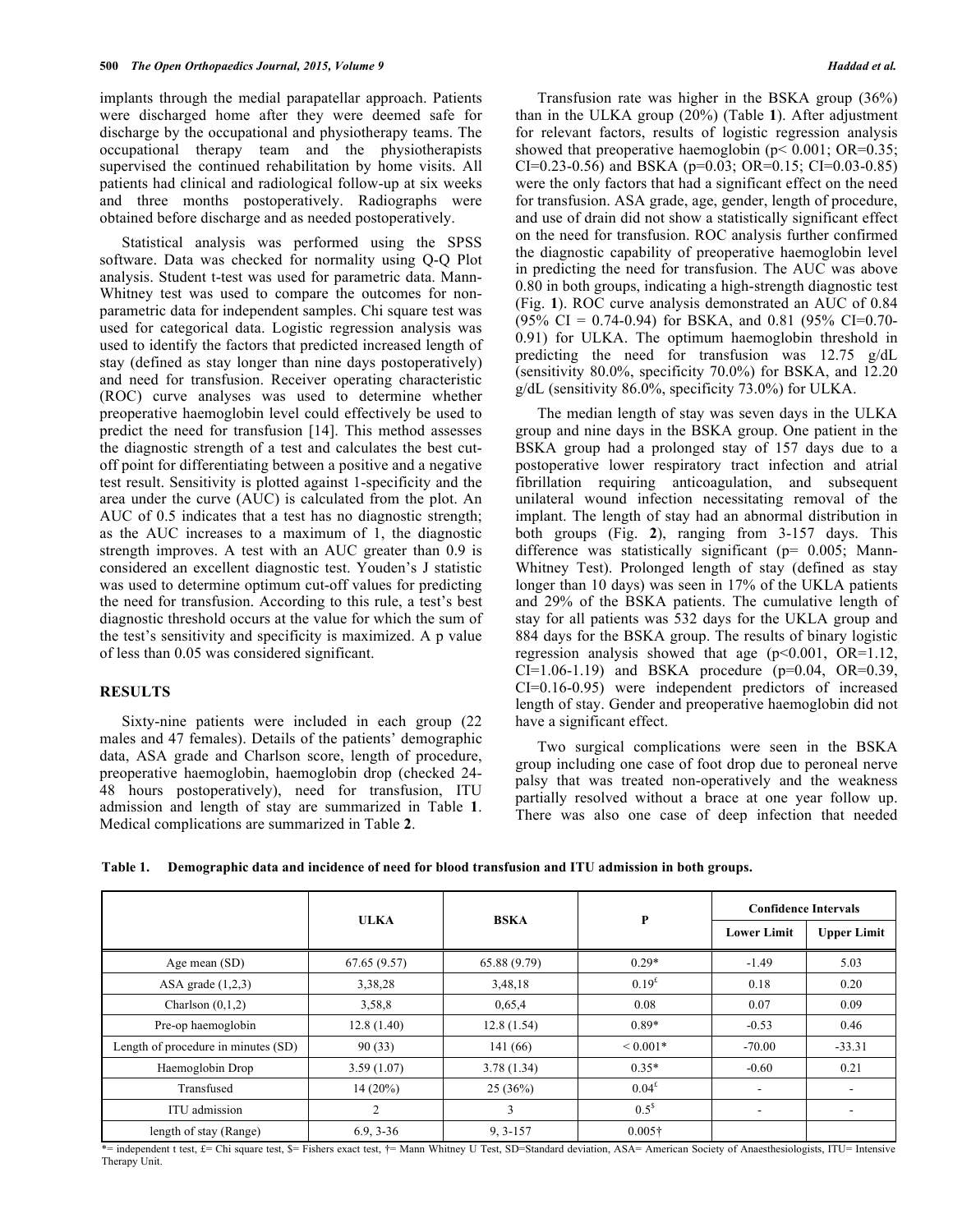implants through the medial parapatellar approach. Patients were discharged home after they were deemed safe for discharge by the occupational and physiotherapy teams. The occupational therapy team and the physiotherapists supervised the continued rehabilitation by home visits. All patients had clinical and radiological follow-up at six weeks and three months postoperatively. Radiographs were obtained before discharge and as needed postoperatively.

Statistical analysis was performed using the SPSS software. Data was checked for normality using Q-Q Plot analysis. Student t-test was used for parametric data. Mann-Whitney test was used to compare the outcomes for nonparametric data for independent samples. Chi square test was used for categorical data. Logistic regression analysis was used to identify the factors that predicted increased length of stay (defined as stay longer than nine days postoperatively) and need for transfusion. Receiver operating characteristic (ROC) curve analyses was used to determine whether preoperative haemoglobin level could effectively be used to predict the need for transfusion [14]. This method assesses the diagnostic strength of a test and calculates the best cutoff point for differentiating between a positive and a negative test result. Sensitivity is plotted against 1-specificity and the area under the curve (AUC) is calculated from the plot. An AUC of 0.5 indicates that a test has no diagnostic strength; as the AUC increases to a maximum of 1, the diagnostic strength improves. A test with an AUC greater than 0.9 is considered an excellent diagnostic test. Youden's J statistic was used to determine optimum cut-off values for predicting the need for transfusion. According to this rule, a test's best diagnostic threshold occurs at the value for which the sum of the test's sensitivity and specificity is maximized. A p value of less than 0.05 was considered significant.

### **RESULTS**

Sixty-nine patients were included in each group (22 males and 47 females). Details of the patients' demographic data, ASA grade and Charlson score, length of procedure, preoperative haemoglobin, haemoglobin drop (checked 24- 48 hours postoperatively), need for transfusion, ITU admission and length of stay are summarized in Table **1**. Medical complications are summarized in Table **2**.

Transfusion rate was higher in the BSKA group (36%) than in the ULKA group (20%) (Table **1**). After adjustment for relevant factors, results of logistic regression analysis showed that preoperative haemoglobin ( $p$ < 0.001; OR=0.35; CI=0.23-0.56) and BSKA (p=0.03; OR=0.15; CI=0.03-0.85) were the only factors that had a significant effect on the need for transfusion. ASA grade, age, gender, length of procedure, and use of drain did not show a statistically significant effect on the need for transfusion. ROC analysis further confirmed the diagnostic capability of preoperative haemoglobin level in predicting the need for transfusion. The AUC was above 0.80 in both groups, indicating a high-strength diagnostic test (Fig. **1**). ROC curve analysis demonstrated an AUC of 0.84  $(95\% \text{ CI} = 0.74 - 0.94)$  for BSKA, and 0.81  $(95\% \text{ CI} = 0.70 - 0.94)$ 0.91) for ULKA. The optimum haemoglobin threshold in predicting the need for transfusion was 12.75 g/dL (sensitivity 80.0%, specificity 70.0%) for BSKA, and 12.20 g/dL (sensitivity 86.0%, specificity 73.0%) for ULKA.

The median length of stay was seven days in the ULKA group and nine days in the BSKA group. One patient in the BSKA group had a prolonged stay of 157 days due to a postoperative lower respiratory tract infection and atrial fibrillation requiring anticoagulation, and subsequent unilateral wound infection necessitating removal of the implant. The length of stay had an abnormal distribution in both groups (Fig. **2**), ranging from 3-157 days. This difference was statistically significant (p= 0.005; Mann-Whitney Test). Prolonged length of stay (defined as stay longer than 10 days) was seen in 17% of the UKLA patients and 29% of the BSKA patients. The cumulative length of stay for all patients was 532 days for the UKLA group and 884 days for the BSKA group. The results of binary logistic regression analysis showed that age  $(p<0.001, OR=1.12,$  $CI=1.06-1.19$  and BSKA procedure ( $p=0.04$ ,  $OR=0.39$ , CI=0.16-0.95) were independent predictors of increased length of stay. Gender and preoperative haemoglobin did not have a significant effect.

Two surgical complications were seen in the BSKA group including one case of foot drop due to peroneal nerve palsy that was treated non-operatively and the weakness partially resolved without a brace at one year follow up. There was also one case of deep infection that needed

| Table 1.<br>Demographic data and incidence of need for blood transfusion and ITU admission in both groups. |
|------------------------------------------------------------------------------------------------------------|
|------------------------------------------------------------------------------------------------------------|

|                                     |             | <b>BSKA</b>  | P                 | <b>Confidence Intervals</b> |                    |
|-------------------------------------|-------------|--------------|-------------------|-----------------------------|--------------------|
|                                     | <b>ULKA</b> |              |                   | <b>Lower Limit</b>          | <b>Upper Limit</b> |
| Age mean (SD)                       | 67.65(9.57) | 65.88(9.79)  | $0.29*$           | $-1.49$                     | 5.03               |
| ASA grade $(1,2,3)$                 | 3,38,28     | 3,48,18      | 0.19 <sup>£</sup> | 0.18                        | 0.20               |
| Charlson $(0,1,2)$                  | 3,58,8      | 0,65,4       | 0.08              | 0.07                        | 0.09               |
| Pre-op haemoglobin                  | 12.8(1.40)  | 12.8(1.54)   | $0.89*$           | $-0.53$                     | 0.46               |
| Length of procedure in minutes (SD) | 90(33)      | 141 (66)     | ${}< 0.001*$      | $-70.00$                    | $-33.31$           |
| Haemoglobin Drop                    | 3.59(1.07)  | 3.78(1.34)   | $0.35*$           | $-0.60$                     | 0.21               |
| Transfused                          | $14(20\%)$  | 25(36%)      | 0.04 <sup>£</sup> |                             | -                  |
| ITU admission                       | 2           | 3            | $0.5^{\$}$        | $\overline{\phantom{a}}$    | ۰.                 |
| length of stay (Range)              | $6.9, 3-36$ | $9, 3 - 157$ | $0.005\dagger$    |                             |                    |

\*= independent t test, £= Chi square test, \$= Fishers exact test, †= Mann Whitney U Test, SD=Standard deviation, ASA= American Society of Anaesthesiologists, ITU= Intensive Therapy Unit.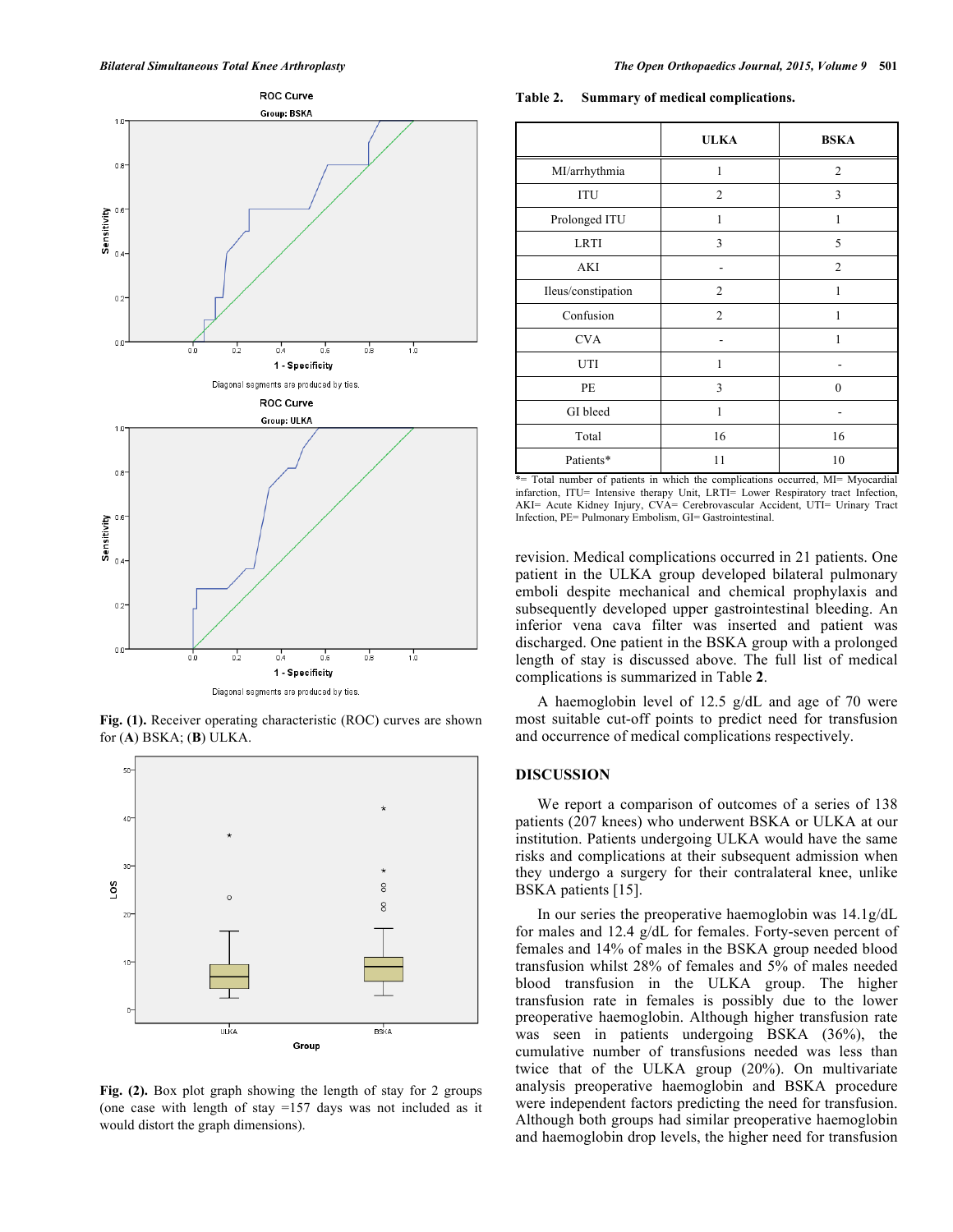

**Fig. (1).** Receiver operating characteristic (ROC) curves are shown for (**A**) BSKA; (**B**) ULKA.



**Fig. (2).** Box plot graph showing the length of stay for 2 groups (one case with length of stay =157 days was not included as it would distort the graph dimensions).

**Table 2. Summary of medical complications.**

|                    | <b>ULKA</b>    | <b>BSKA</b>    |
|--------------------|----------------|----------------|
| MI/arrhythmia      | 1              | $\mathfrak{2}$ |
| ITU                | $\mathfrak{2}$ | 3              |
| Prolonged ITU      | 1              | 1              |
| <b>LRTI</b>        | 3              | 5              |
| <b>AKI</b>         |                | $\overline{2}$ |
| Ileus/constipation | $\overline{2}$ | 1              |
| Confusion          | $\overline{2}$ | 1              |
| <b>CVA</b>         |                | 1              |
| UTI                | 1              |                |
| PE                 | 3              | $\theta$       |
| GI bleed           | 1              |                |
| Total              | 16             | 16             |
| Patients*          | 11             | 10             |

\*= Total number of patients in which the complications occurred, MI= Myocardial infarction, ITU= Intensive therapy Unit, LRTI= Lower Respiratory tract Infection, AKI= Acute Kidney Injury, CVA= Cerebrovascular Accident, UTI= Urinary Tract Infection, PE= Pulmonary Embolism, GI= Gastrointestinal.

revision. Medical complications occurred in 21 patients. One patient in the ULKA group developed bilateral pulmonary emboli despite mechanical and chemical prophylaxis and subsequently developed upper gastrointestinal bleeding. An inferior vena cava filter was inserted and patient was discharged. One patient in the BSKA group with a prolonged length of stay is discussed above. The full list of medical complications is summarized in Table **2**.

A haemoglobin level of 12.5 g/dL and age of 70 were most suitable cut-off points to predict need for transfusion and occurrence of medical complications respectively.

### **DISCUSSION**

We report a comparison of outcomes of a series of 138 patients (207 knees) who underwent BSKA or ULKA at our institution. Patients undergoing ULKA would have the same risks and complications at their subsequent admission when they undergo a surgery for their contralateral knee, unlike BSKA patients [15].

In our series the preoperative haemoglobin was 14.1g/dL for males and 12.4 g/dL for females. Forty-seven percent of females and 14% of males in the BSKA group needed blood transfusion whilst 28% of females and 5% of males needed blood transfusion in the ULKA group. The higher transfusion rate in females is possibly due to the lower preoperative haemoglobin. Although higher transfusion rate was seen in patients undergoing BSKA (36%), the cumulative number of transfusions needed was less than twice that of the ULKA group (20%). On multivariate analysis preoperative haemoglobin and BSKA procedure were independent factors predicting the need for transfusion. Although both groups had similar preoperative haemoglobin and haemoglobin drop levels, the higher need for transfusion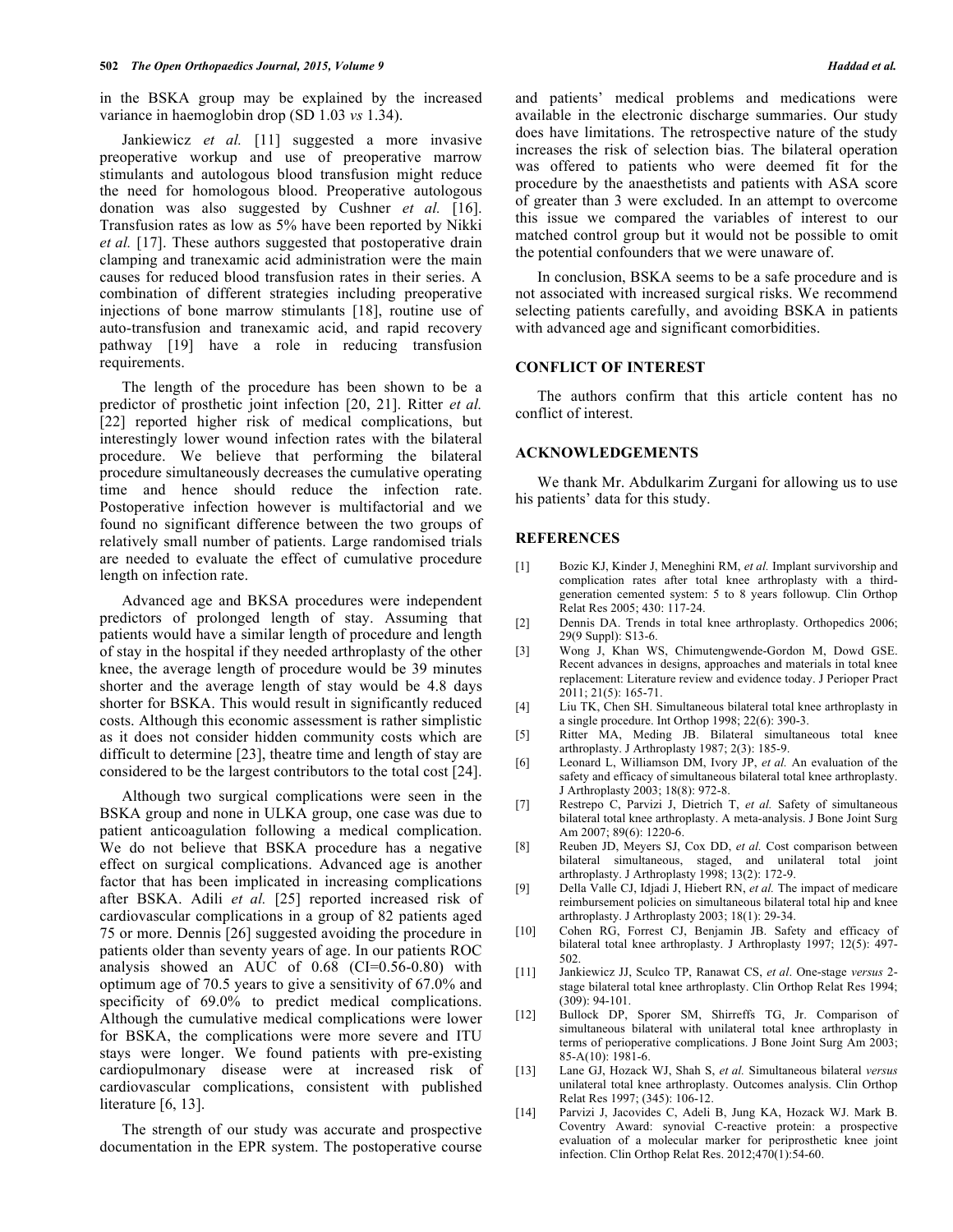in the BSKA group may be explained by the increased variance in haemoglobin drop (SD 1.03 *vs* 1.34).

Jankiewicz *et al.* [11] suggested a more invasive preoperative workup and use of preoperative marrow stimulants and autologous blood transfusion might reduce the need for homologous blood. Preoperative autologous donation was also suggested by Cushner *et al.* [16]. Transfusion rates as low as 5% have been reported by Nikki *et al.* [17]. These authors suggested that postoperative drain clamping and tranexamic acid administration were the main causes for reduced blood transfusion rates in their series. A combination of different strategies including preoperative injections of bone marrow stimulants [18], routine use of auto-transfusion and tranexamic acid, and rapid recovery pathway [19] have a role in reducing transfusion requirements.

The length of the procedure has been shown to be a predictor of prosthetic joint infection [20, 21]. Ritter *et al.* [22] reported higher risk of medical complications, but interestingly lower wound infection rates with the bilateral procedure. We believe that performing the bilateral procedure simultaneously decreases the cumulative operating time and hence should reduce the infection rate. Postoperative infection however is multifactorial and we found no significant difference between the two groups of relatively small number of patients. Large randomised trials are needed to evaluate the effect of cumulative procedure length on infection rate.

Advanced age and BKSA procedures were independent predictors of prolonged length of stay. Assuming that patients would have a similar length of procedure and length of stay in the hospital if they needed arthroplasty of the other knee, the average length of procedure would be 39 minutes shorter and the average length of stay would be 4.8 days shorter for BSKA. This would result in significantly reduced costs. Although this economic assessment is rather simplistic as it does not consider hidden community costs which are difficult to determine [23], theatre time and length of stay are considered to be the largest contributors to the total cost [24].

Although two surgical complications were seen in the BSKA group and none in ULKA group, one case was due to patient anticoagulation following a medical complication. We do not believe that BSKA procedure has a negative effect on surgical complications. Advanced age is another factor that has been implicated in increasing complications after BSKA. Adili *et al.* [25] reported increased risk of cardiovascular complications in a group of 82 patients aged 75 or more. Dennis [26] suggested avoiding the procedure in patients older than seventy years of age. In our patients ROC analysis showed an AUC of 0.68 (CI=0.56-0.80) with optimum age of 70.5 years to give a sensitivity of 67.0% and specificity of 69.0% to predict medical complications. Although the cumulative medical complications were lower for BSKA, the complications were more severe and ITU stays were longer. We found patients with pre-existing cardiopulmonary disease were at increased risk of cardiovascular complications, consistent with published literature [6, 13].

The strength of our study was accurate and prospective documentation in the EPR system. The postoperative course and patients' medical problems and medications were available in the electronic discharge summaries. Our study does have limitations. The retrospective nature of the study increases the risk of selection bias. The bilateral operation was offered to patients who were deemed fit for the procedure by the anaesthetists and patients with ASA score of greater than 3 were excluded. In an attempt to overcome this issue we compared the variables of interest to our matched control group but it would not be possible to omit the potential confounders that we were unaware of.

In conclusion, BSKA seems to be a safe procedure and is not associated with increased surgical risks. We recommend selecting patients carefully, and avoiding BSKA in patients with advanced age and significant comorbidities.

#### **CONFLICT OF INTEREST**

The authors confirm that this article content has no conflict of interest.

# **ACKNOWLEDGEMENTS**

We thank Mr. Abdulkarim Zurgani for allowing us to use his patients' data for this study.

### **REFERENCES**

- [1] Bozic KJ, Kinder J, Meneghini RM, *et al.* Implant survivorship and complication rates after total knee arthroplasty with a thirdgeneration cemented system: 5 to 8 years followup. Clin Orthop Relat Res 2005; 430: 117-24.
- [2] Dennis DA. Trends in total knee arthroplasty. Orthopedics 2006; 29(9 Suppl): S13-6.
- [3] Wong J, Khan WS, Chimutengwende-Gordon M, Dowd GSE. Recent advances in designs, approaches and materials in total knee replacement: Literature review and evidence today. J Perioper Pract 2011; 21(5): 165-71.
- [4] Liu TK, Chen SH. Simultaneous bilateral total knee arthroplasty in a single procedure. Int Orthop 1998; 22(6): 390-3.
- [5] Ritter MA, Meding JB. Bilateral simultaneous total knee arthroplasty. J Arthroplasty 1987; 2(3): 185-9.
- [6] Leonard L, Williamson DM, Ivory JP, *et al.* An evaluation of the safety and efficacy of simultaneous bilateral total knee arthroplasty. J Arthroplasty 2003; 18(8): 972-8.
- [7] Restrepo C, Parvizi J, Dietrich T, *et al.* Safety of simultaneous bilateral total knee arthroplasty. A meta-analysis. J Bone Joint Surg Am 2007; 89(6): 1220-6.
- [8] Reuben JD, Meyers SJ, Cox DD, *et al.* Cost comparison between bilateral simultaneous, staged, and unilateral total joint arthroplasty. J Arthroplasty 1998; 13(2): 172-9.
- [9] Della Valle CJ, Idjadi J, Hiebert RN, *et al.* The impact of medicare reimbursement policies on simultaneous bilateral total hip and knee arthroplasty. J Arthroplasty 2003; 18(1): 29-34.
- [10] Cohen RG, Forrest CJ, Benjamin JB. Safety and efficacy of bilateral total knee arthroplasty. J Arthroplasty 1997; 12(5): 497- 502.
- [11] Jankiewicz JJ, Sculco TP, Ranawat CS, *et al*. One-stage *versus* 2 stage bilateral total knee arthroplasty. Clin Orthop Relat Res 1994; (309): 94-101.
- [12] Bullock DP, Sporer SM, Shirreffs TG, Jr. Comparison of simultaneous bilateral with unilateral total knee arthroplasty in terms of perioperative complications. J Bone Joint Surg Am 2003; 85-A(10): 1981-6.
- [13] Lane GJ, Hozack WJ, Shah S, *et al.* Simultaneous bilateral *versus* unilateral total knee arthroplasty. Outcomes analysis. Clin Orthop Relat Res 1997; (345): 106-12.
- [14] Parvizi J, Jacovides C, Adeli B, Jung KA, Hozack WJ. Mark B. Coventry Award: synovial C-reactive protein: a prospective evaluation of a molecular marker for periprosthetic knee joint infection. Clin Orthop Relat Res. 2012;470(1):54-60.